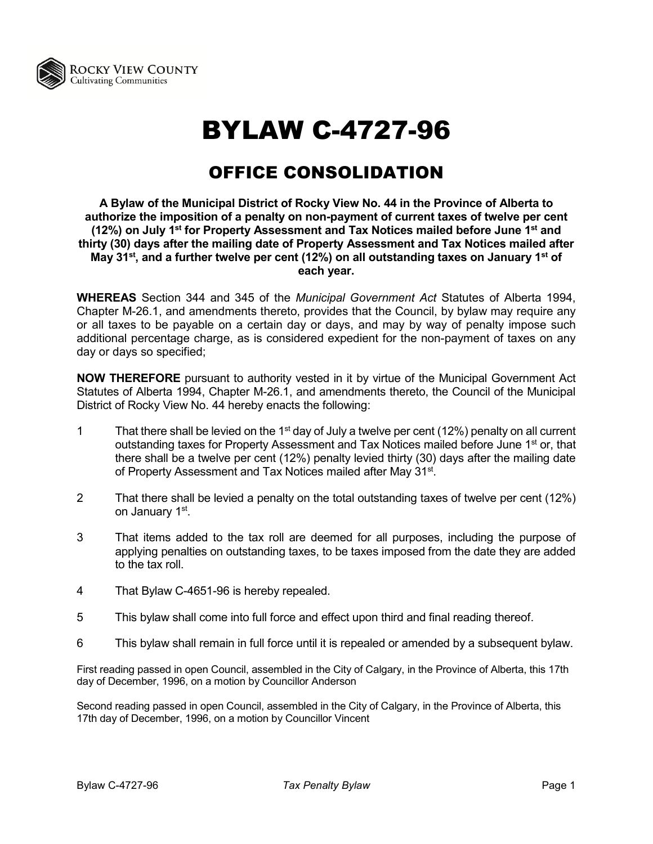

## BYLAW C-4727-96

## OFFICE CONSOLIDATION

**A Bylaw of the Municipal District of Rocky View No. 44 in the Province of Alberta to authorize the imposition of a penalty on non-payment of current taxes of twelve per cent (12%) on July 1st for Property Assessment and Tax Notices mailed before June 1st and thirty (30) days after the mailing date of Property Assessment and Tax Notices mailed after May 31st, and a further twelve per cent (12%) on all outstanding taxes on January 1st of each year.**

**WHEREAS** Section 344 and 345 of the *Municipal Government Act* Statutes of Alberta 1994, Chapter M-26.1, and amendments thereto, provides that the Council, by bylaw may require any or all taxes to be payable on a certain day or days, and may by way of penalty impose such additional percentage charge, as is considered expedient for the non-payment of taxes on any day or days so specified;

**NOW THEREFORE** pursuant to authority vested in it by virtue of the Municipal Government Act Statutes of Alberta 1994, Chapter M-26.1, and amendments thereto, the Council of the Municipal District of Rocky View No. 44 hereby enacts the following:

- 1 That there shall be levied on the 1<sup>st</sup> day of July a twelve per cent (12%) penalty on all current outstanding taxes for Property Assessment and Tax Notices mailed before June 1<sup>st</sup> or, that there shall be a twelve per cent (12%) penalty levied thirty (30) days after the mailing date of Property Assessment and Tax Notices mailed after May 31<sup>st</sup>.
- 2 That there shall be levied a penalty on the total outstanding taxes of twelve per cent (12%) on January 1<sup>st</sup>.
- 3 That items added to the tax roll are deemed for all purposes, including the purpose of applying penalties on outstanding taxes, to be taxes imposed from the date they are added to the tax roll.
- 4 That Bylaw C-4651-96 is hereby repealed.
- 5 This bylaw shall come into full force and effect upon third and final reading thereof.
- 6 This bylaw shall remain in full force until it is repealed or amended by a subsequent bylaw.

First reading passed in open Council, assembled in the City of Calgary, in the Province of Alberta, this 17th day of December, 1996, on a motion by Councillor Anderson

Second reading passed in open Council, assembled in the City of Calgary, in the Province of Alberta, this 17th day of December, 1996, on a motion by Councillor Vincent